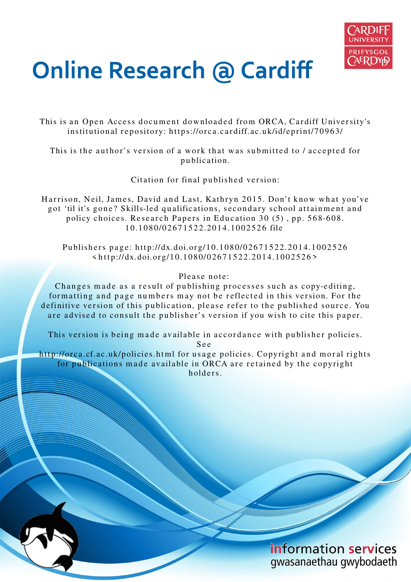

# **Online Research @ Cardiff**

This is an Open Access document downloaded from ORCA, Cardiff University's institutional repository: https://orca.cardiff.ac.uk/id/eprint/70963/

This is the author's version of a work that was submitted to / accepted for p u blication.

Citation for final published version:

Harrison, Neil, James, David and Last, Kathryn 2015. Don't know what you've got 'til it's gone? Skills-led qualifications, secondary school attainment and policy choices. Research Papers in Education 30  $(5)$ , pp. 568-608. 1 0.1 0 8 0/0 26 7 1 5 2 2.20 1 4.10 0 2 5 2 6 file

Publishers page: http://dx.doi.org/10.1080/02671522.2014.1002526  $\langle$ http://dx.doi.org/10.1080/02671522.2014.1002526>

#### Please note:

Changes made as a result of publishing processes such as copy-editing, formatting and page numbers may not be reflected in this version. For the definitive version of this publication, please refer to the published source. You are advised to consult the publisher's version if you wish to cite this paper.

This version is being made available in accordance with publisher policies. S e e

http://orca.cf.ac.uk/policies.html for usage policies. Copyright and moral rights for publications made available in ORCA are retained by the copyright holders



information services gwasanaethau gwybodaeth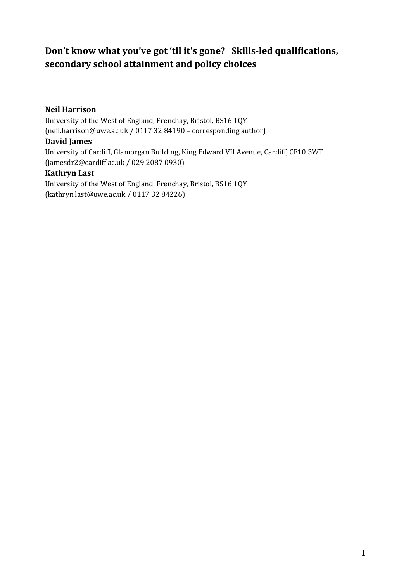# **Don't know what you've got 'til it's gone? Skills-led qualifications, secondary school attainment and policy choices**

#### **Neil Harrison**

University of the West of England, Frenchay, Bristol, BS16 1QY (neil.harrison@uwe.ac.uk / 0117 32 84190 – corresponding author)

#### **David James**

University of Cardiff, Glamorgan Building, King Edward VII Avenue, Cardiff, CF10 3WT (jamesdr2@cardiff.ac.uk / 029 2087 0930)

#### **Kathryn Last**

University of the West of England, Frenchay, Bristol, BS16 1QY (kathryn.last@uwe.ac.uk / 0117 32 84226)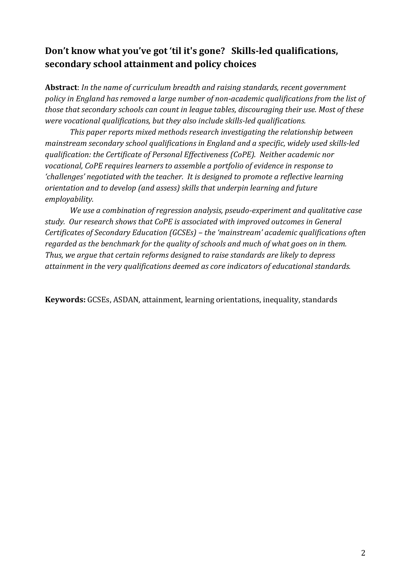# **Don't know what you've got 'til it's gone? Skills-led qualifications, secondary school attainment and policy choices**

**Abstract**: *In the name of curriculum breadth and raising standards, recent government policy in England has removed a large number of non-academic qualifications from the list of those that secondary schools can count in league tables, discouraging their use. Most of these were vocational qualifications, but they also include skills-led qualifications.* 

*This paper reports mixed methods research investigating the relationship between mainstream secondary school qualifications in England and a specific, widely used skills-led qualification: the Certificate of Personal Effectiveness (CoPE). Neither academic nor vocational, CoPE requires learners to assemble a portfolio of evidence in response to 'challenges' negotiated with the teacher. It is designed to promote a reflective learning orientation and to develop (and assess) skills that underpin learning and future employability.* 

*We use a combination of regression analysis, pseudo-experiment and qualitative case study. Our research shows that CoPE is associated with improved outcomes in General Certificates of Secondary Education (GCSEs) – the 'mainstream' academic qualifications often regarded as the benchmark for the quality of schools and much of what goes on in them. Thus, we argue that certain reforms designed to raise standards are likely to depress attainment in the very qualifications deemed as core indicators of educational standards.* 

**Keywords:** GCSEs, ASDAN, attainment, learning orientations, inequality, standards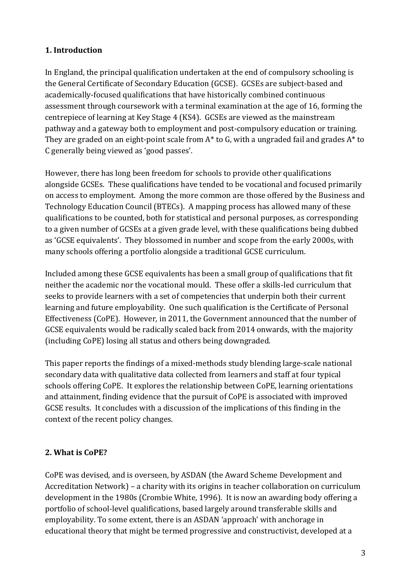## **1. Introduction**

In England, the principal qualification undertaken at the end of compulsory schooling is the General Certificate of Secondary Education (GCSE). GCSEs are subject-based and academically-focused qualifications that have historically combined continuous assessment through coursework with a terminal examination at the age of 16, forming the centrepiece of learning at Key Stage 4 (KS4). GCSEs are viewed as the mainstream pathway and a gateway both to employment and post-compulsory education or training. They are graded on an eight-point scale from A\* to G, with a ungraded fail and grades A\* to C generally being viewed as 'good passes'.

However, there has long been freedom for schools to provide other qualifications alongside GCSEs. These qualifications have tended to be vocational and focused primarily on access to employment. Among the more common are those offered by the Business and Technology Education Council (BTECs). A mapping process has allowed many of these qualifications to be counted, both for statistical and personal purposes, as corresponding to a given number of GCSEs at a given grade level, with these qualifications being dubbed as 'GCSE equivalents'. They blossomed in number and scope from the early 2000s, with many schools offering a portfolio alongside a traditional GCSE curriculum.

Included among these GCSE equivalents has been a small group of qualifications that fit neither the academic nor the vocational mould. These offer a skills-led curriculum that seeks to provide learners with a set of competencies that underpin both their current learning and future employability. One such qualification is the Certificate of Personal Effectiveness (CoPE). However, in 2011, the Government announced that the number of GCSE equivalents would be radically scaled back from 2014 onwards, with the majority (including CoPE) losing all status and others being downgraded.

This paper reports the findings of a mixed-methods study blending large-scale national secondary data with qualitative data collected from learners and staff at four typical schools offering CoPE. It explores the relationship between CoPE, learning orientations and attainment, finding evidence that the pursuit of CoPE is associated with improved GCSE results. It concludes with a discussion of the implications of this finding in the context of the recent policy changes.

## **2. What is CoPE?**

CoPE was devised, and is overseen, by ASDAN (the Award Scheme Development and Accreditation Network) – a charity with its origins in teacher collaboration on curriculum development in the 1980s (Crombie White, 1996). It is now an awarding body offering a portfolio of school-level qualifications, based largely around transferable skills and employability. To some extent, there is an ASDAN 'approach' with anchorage in educational theory that might be termed progressive and constructivist, developed at a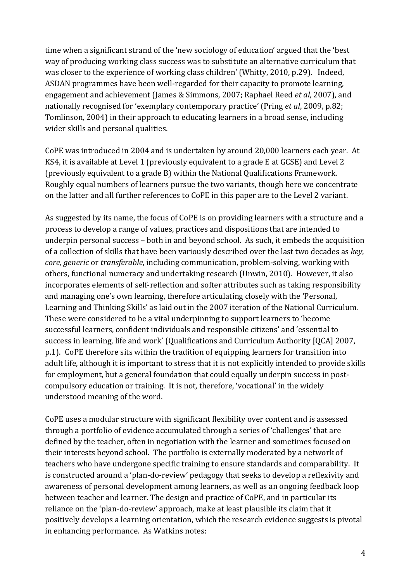time when a significant strand of the 'new sociology of education' argued that the 'best way of producing working class success was to substitute an alternative curriculum that was closer to the experience of working class children' (Whitty, 2010, p.29). Indeed, ASDAN programmes have been well-regarded for their capacity to promote learning, engagement and achievement (James & Simmons, 2007; Raphael Reed *et al*, 2007), and nationally recognised for 'exemplary contemporary practice' (Pring *et al*, 2009, p.82; Tomlinson, 2004) in their approach to educating learners in a broad sense, including wider skills and personal qualities.

CoPE was introduced in 2004 and is undertaken by around 20,000 learners each year. At KS4, it is available at Level 1 (previously equivalent to a grade E at GCSE) and Level 2 (previously equivalent to a grade B) within the National Qualifications Framework. Roughly equal numbers of learners pursue the two variants, though here we concentrate on the latter and all further references to CoPE in this paper are to the Level 2 variant.

As suggested by its name, the focus of CoPE is on providing learners with a structure and a process to develop a range of values, practices and dispositions that are intended to underpin personal success – both in and beyond school. As such, it embeds the acquisition of a collection of skills that have been variously described over the last two decades as *key*, *core, generic* or *transferable*, including communication, problem-solving, working with others, functional numeracy and undertaking research (Unwin, 2010). However, it also incorporates elements of self-reflection and softer attributes such as taking responsibility and managing one's own learning, therefore articulating closely with the 'Personal, Learning and Thinking Skills' as laid out in the 2007 iteration of the National Curriculum. These were considered to be a vital underpinning to support learners to 'become successful learners, confident individuals and responsible citizens' and 'essential to success in learning, life and work' (Qualifications and Curriculum Authority [QCA] 2007, p.1).CoPE therefore sits within the tradition of equipping learners for transition into adult life, although it is important to stress that it is not explicitly intended to provide skills for employment, but a general foundation that could equally underpin success in postcompulsory education or training. It is not, therefore, 'vocational' in the widely understood meaning of the word.

CoPE uses a modular structure with significant flexibility over content and is assessed through a portfolio of evidence accumulated through a series of 'challenges' that are defined by the teacher, often in negotiation with the learner and sometimes focused on their interests beyond school. The portfolio is externally moderated by a network of teachers who have undergone specific training to ensure standards and comparability. It is constructed around a 'plan-do-review' pedagogy that seeks to develop a reflexivity and awareness of personal development among learners, as well as an ongoing feedback loop between teacher and learner. The design and practice of CoPE, and in particular its reliance on the 'plan-do-review' approach, make at least plausible its claim that it positively develops a learning orientation, which the research evidence suggests is pivotal in enhancing performance. As Watkins notes: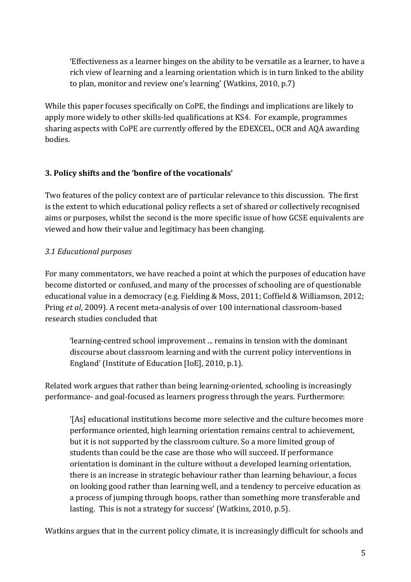'Effectiveness as a learner hinges on the ability to be versatile as a learner, to have a rich view of learning and a learning orientation which is in turn linked to the ability to plan, monitor and review one's learning' (Watkins, 2010, p.7)

While this paper focuses specifically on CoPE, the findings and implications are likely to apply more widely to other skills-led qualifications at KS4. For example, programmes sharing aspects with CoPE are currently offered by the EDEXCEL, OCR and AQA awarding bodies.

## **3. Policy shifts and the 'bonfire of the vocationals'**

Two features of the policy context are of particular relevance to this discussion. The first is the extent to which educational policy reflects a set of shared or collectively recognised aims or purposes, whilst the second is the more specific issue of how GCSE equivalents are viewed and how their value and legitimacy has been changing.

## *3.1 Educational purposes*

For many commentators, we have reached a point at which the purposes of education have become distorted or confused, and many of the processes of schooling are of questionable educational value in a democracy (e.g. Fielding & Moss, 2011; Coffield & Williamson, 2012; Pring *et al*, 2009). A recent meta-analysis of over 100 international classroom-based research studies concluded that

'learning-centred school improvement ... remains in tension with the dominant discourse about classroom learning and with the current policy interventions in England' (Institute of Education [IoE], 2010, p.1).

Related work argues that rather than being learning-oriented, schooling is increasingly performance- and goal-focused as learners progress through the years. Furthermore:

'[As] educational institutions become more selective and the culture becomes more performance oriented, high learning orientation remains central to achievement, but it is not supported by the classroom culture. So a more limited group of students than could be the case are those who will succeed. If performance orientation is dominant in the culture without a developed learning orientation, there is an increase in strategic behaviour rather than learning behaviour, a focus on looking good rather than learning well, and a tendency to perceive education as a process of jumping through hoops, rather than something more transferable and lasting. This is not a strategy for success' (Watkins, 2010, p.5).

Watkins argues that in the current policy climate, it is increasingly difficult for schools and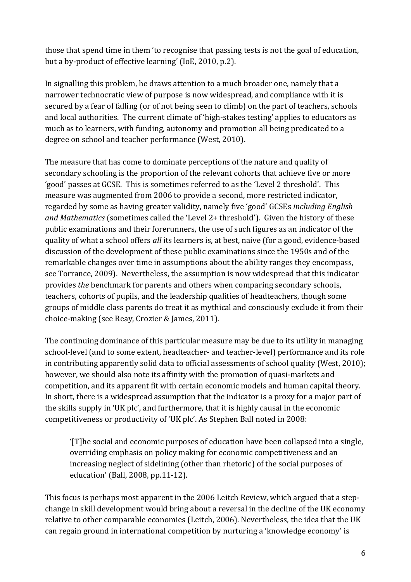those that spend time in them 'to recognise that passing tests is not the goal of education, but a by-product of effective learning' (IoE, 2010, p.2).

In signalling this problem, he draws attention to a much broader one, namely that a narrower technocratic view of purpose is now widespread, and compliance with it is secured by a fear of falling (or of not being seen to climb) on the part of teachers, schools and local authorities. The current climate of 'high-stakes testing' applies to educators as much as to learners, with funding, autonomy and promotion all being predicated to a degree on school and teacher performance (West, 2010).

The measure that has come to dominate perceptions of the nature and quality of secondary schooling is the proportion of the relevant cohorts that achieve five or more 'good' passes at GCSE. This is sometimes referred to as the 'Level 2 threshold'. This measure was augmented from 2006 to provide a second, more restricted indicator, regarded by some as having greater validity, namely five 'good' GCSEs *including English and Mathematics* (sometimes called the 'Level 2+ threshold'). Given the history of these public examinations and their forerunners, the use of such figures as an indicator of the quality of what a school offers *all* its learners is, at best, naive (for a good, evidence-based discussion of the development of these public examinations since the 1950s and of the remarkable changes over time in assumptions about the ability ranges they encompass, see Torrance, 2009). Nevertheless, the assumption is now widespread that this indicator provides *the* benchmark for parents and others when comparing secondary schools, teachers, cohorts of pupils, and the leadership qualities of headteachers, though some groups of middle class parents do treat it as mythical and consciously exclude it from their choice-making (see Reay, Crozier & James, 2011).

The continuing dominance of this particular measure may be due to its utility in managing school-level (and to some extent, headteacher- and teacher-level) performance and its role in contributing apparently solid data to official assessments of school quality (West, 2010); however, we should also note its affinity with the promotion of quasi-markets and competition, and its apparent fit with certain economic models and human capital theory. In short, there is a widespread assumption that the indicator is a proxy for a major part of the skills supply in 'UK plc', and furthermore, that it is highly causal in the economic competitiveness or productivity of 'UK plc'. As Stephen Ball noted in 2008:

'[T]he social and economic purposes of education have been collapsed into a single, overriding emphasis on policy making for economic competitiveness and an increasing neglect of sidelining (other than rhetoric) of the social purposes of education' (Ball, 2008, pp.11-12).

This focus is perhaps most apparent in the 2006 Leitch Review, which argued that a stepchange in skill development would bring about a reversal in the decline of the UK economy relative to other comparable economies (Leitch, 2006). Nevertheless, the idea that the UK can regain ground in international competition by nurturing a 'knowledge economy' is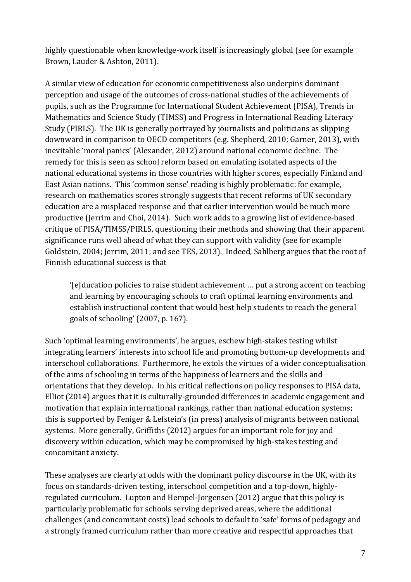highly questionable when knowledge-work itself is increasingly global (see for example Brown, Lauder & Ashton, 2011).

A similar view of education for economic competitiveness also underpins dominant perception and usage of the outcomes of cross-national studies of the achievements of pupils, such as the Programme for International Student Achievement (PISA), Trends in Mathematics and Science Study (TIMSS) and Progress in International Reading Literacy Study (PIRLS). The UK is generally portrayed by journalists and politicians as slipping downward in comparison to OECD competitors (e.g. Shepherd, 2010; Garner, 2013), with inevitable 'moral panics' (Alexander, 2012) around national economic decline. The remedy for this is seen as school reform based on emulating isolated aspects of the national educational systems in those countries with higher scores, especially Finland and East Asian nations. This 'common sense' reading is highly problematic: for example, research on mathematics scores strongly suggests that recent reforms of UK secondary education are a misplaced response and that earlier intervention would be much more productive (Jerrim and Choi, 2014). Such work adds to a growing list of evidence-based critique of PISA/TIMSS/PIRLS, questioning their methods and showing that their apparent significance runs well ahead of what they can support with validity (see for example Goldstein, 2004; Jerrim, 2011; and see TES, 2013). Indeed, Sahlberg argues that the root of Finnish educational success is that

'[e]ducation policies to raise student achievement … put a strong accent on teaching and learning by encouraging schools to craft optimal learning environments and establish instructional content that would best help students to reach the general goals of schooling' (2007, p. 167).

Such 'optimal learning environments', he argues, eschew high-stakes testing whilst integrating learners' interests into school life and promoting bottom-up developments and interschool collaborations. Furthermore, he extols the virtues of a wider conceptualisation of the aims of schooling in terms of the happiness of learners and the skills and orientations that they develop. In his critical reflections on policy responses to PISA data, Elliot (2014) argues that it is culturally-grounded differences in academic engagement and motivation that explain international rankings, rather than national education systems; this is supported by Feniger & Lefstein's (in press) analysis of migrants between national systems. More generally, Griffiths (2012) argues for an important role for joy and discovery within education, which may be compromised by high-stakes testing and concomitant anxiety.

These analyses are clearly at odds with the dominant policy discourse in the UK, with its focus on standards-driven testing, interschool competition and a top-down, highlyregulated curriculum. Lupton and Hempel-Jorgensen (2012) argue that this policy is particularly problematic for schools serving deprived areas, where the additional challenges (and concomitant costs) lead schools to default to 'safe' forms of pedagogy and a strongly framed curriculum rather than more creative and respectful approaches that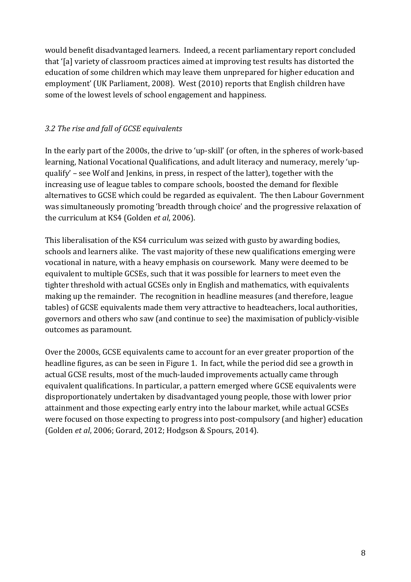would benefit disadvantaged learners. Indeed, a recent parliamentary report concluded that '[a] variety of classroom practices aimed at improving test results has distorted the education of some children which may leave them unprepared for higher education and employment' (UK Parliament, 2008). West (2010) reports that English children have some of the lowest levels of school engagement and happiness.

## *3.2 The rise and fall of GCSE equivalents*

In the early part of the 2000s, the drive to 'up-skill' (or often, in the spheres of work-based learning, National Vocational Qualifications, and adult literacy and numeracy, merely 'upqualify' – see Wolf and Jenkins, in press, in respect of the latter), together with the increasing use of league tables to compare schools, boosted the demand for flexible alternatives to GCSE which could be regarded as equivalent. The then Labour Government was simultaneously promoting 'breadth through choice' and the progressive relaxation of the curriculum at KS4 (Golden *et al*, 2006).

This liberalisation of the KS4 curriculum was seized with gusto by awarding bodies, schools and learners alike. The vast majority of these new qualifications emerging were vocational in nature, with a heavy emphasis on coursework. Many were deemed to be equivalent to multiple GCSEs, such that it was possible for learners to meet even the tighter threshold with actual GCSEs only in English and mathematics, with equivalents making up the remainder. The recognition in headline measures (and therefore, league tables) of GCSE equivalents made them very attractive to headteachers, local authorities, governors and others who saw (and continue to see) the maximisation of publicly-visible outcomes as paramount.

Over the 2000s, GCSE equivalents came to account for an ever greater proportion of the headline figures, as can be seen in Figure 1. In fact, while the period did see a growth in actual GCSE results, most of the much-lauded improvements actually came through equivalent qualifications. In particular, a pattern emerged where GCSE equivalents were disproportionately undertaken by disadvantaged young people, those with lower prior attainment and those expecting early entry into the labour market, while actual GCSEs were focused on those expecting to progress into post-compulsory (and higher) education (Golden *et al*, 2006; Gorard, 2012; Hodgson & Spours, 2014).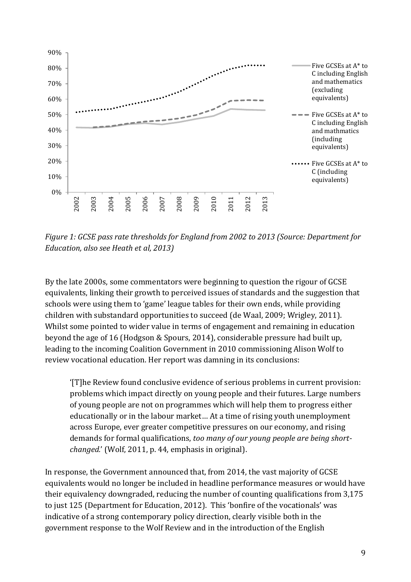

*Figure 1: GCSE pass rate thresholds for England from 2002 to 2013 (Source: Department for Education, also see Heath et al, 2013)* 

By the late 2000s, some commentators were beginning to question the rigour of GCSE equivalents, linking their growth to perceived issues of standards and the suggestion that schools were using them to 'game' league tables for their own ends, while providing children with substandard opportunities to succeed (de Waal, 2009; Wrigley, 2011). Whilst some pointed to wider value in terms of engagement and remaining in education beyond the age of 16 (Hodgson & Spours, 2014), considerable pressure had built up, leading to the incoming Coalition Government in 2010 commissioning Alison Wolf to review vocational education. Her report was damning in its conclusions:

'[T]he Review found conclusive evidence of serious problems in current provision: problems which impact directly on young people and their futures. Large numbers of young people are not on programmes which will help them to progress either educationally or in the labour market… At a time of rising youth unemployment across Europe, ever greater competitive pressures on our economy, and rising demands for formal qualifications, *too many of our young people are being shortchanged.*' (Wolf, 2011, p. 44, emphasis in original).

In response, the Government announced that, from 2014, the vast majority of GCSE equivalents would no longer be included in headline performance measures or would have their equivalency downgraded, reducing the number of counting qualifications from 3,175 to just 125 (Department for Education, 2012). This 'bonfire of the vocationals' was indicative of a strong contemporary policy direction, clearly visible both in the government response to the Wolf Review and in the introduction of the English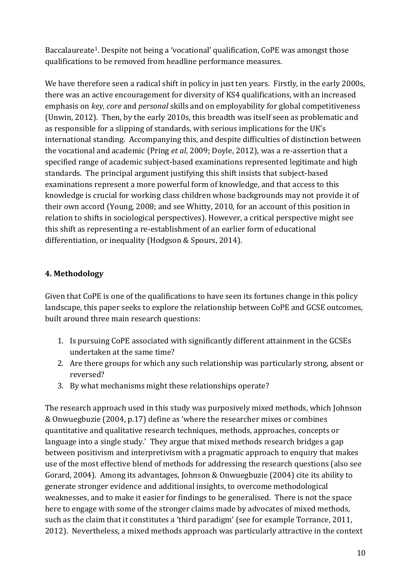Baccalaureate<sup>1</sup>. Despite not being a 'vocational' qualification, CoPE was amongst those qualifications to be removed from headline performance measures.

We have therefore seen a radical shift in policy in just ten years. Firstly, in the early 2000s, there was an active encouragement for diversity of KS4 qualifications, with an increased emphasis on *key*, *core* and *personal* skills and on employability for global competitiveness (Unwin, 2012). Then, by the early 2010s, this breadth was itself seen as problematic and as responsible for a slipping of standards, with serious implications for the UK's international standing. Accompanying this, and despite difficulties of distinction between the vocational and academic (Pring *et al*, 2009; Doyle, 2012), was a re-assertion that a specified range of academic subject-based examinations represented legitimate and high standards. The principal argument justifying this shift insists that subject-based examinations represent a more powerful form of knowledge, and that access to this knowledge is crucial for working class children whose backgrounds may not provide it of their own accord (Young, 2008; and see Whitty, 2010, for an account of this position in relation to shifts in sociological perspectives). However, a critical perspective might see this shift as representing a re-establishment of an earlier form of educational differentiation, or inequality (Hodgson & Spours, 2014).

## **4. Methodology**

Given that CoPE is one of the qualifications to have seen its fortunes change in this policy landscape, this paper seeks to explore the relationship between CoPE and GCSE outcomes, built around three main research questions:

- 1. Is pursuing CoPE associated with significantly different attainment in the GCSEs undertaken at the same time?
- 2. Are there groups for which any such relationship was particularly strong, absent or reversed?
- 3. By what mechanisms might these relationships operate?

The research approach used in this study was purposively mixed methods, which Johnson & Onwuegbuzie (2004, p.17) define as 'where the researcher mixes or combines quantitative and qualitative research techniques, methods, approaches, concepts or language into a single study.' They argue that mixed methods research bridges a gap between positivism and interpretivism with a pragmatic approach to enquiry that makes use of the most effective blend of methods for addressing the research questions (also see Gorard, 2004). Among its advantages, Johnson & Onwuegbuzie (2004) cite its ability to generate stronger evidence and additional insights, to overcome methodological weaknesses, and to make it easier for findings to be generalised. There is not the space here to engage with some of the stronger claims made by advocates of mixed methods, such as the claim that it constitutes a 'third paradigm' (see for example Torrance, 2011, 2012). Nevertheless, a mixed methods approach was particularly attractive in the context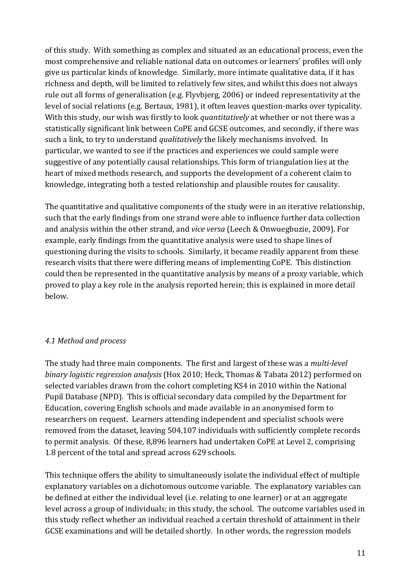of this study. With something as complex and situated as an educational process, even the most comprehensive and reliable national data on outcomes or learners' profiles will only give us particular kinds of knowledge. Similarly, more intimate qualitative data, if it has richness and depth, will be limited to relatively few sites, and whilst this does not always rule out all forms of generalisation (e.g. Flyvbjerg, 2006) or indeed representativity at the level of social relations (e.g. Bertaux, 1981), it often leaves question-marks over typicality. With this study, our wish was firstly to look *quantitatively* at whether or not there was a statistically significant link between CoPE and GCSE outcomes, and secondly, if there was such a link, to try to understand *qualitatively* the likely mechanisms involved. In particular, we wanted to see if the practices and experiences we could sample were suggestive of any potentially causal relationships. This form of triangulation lies at the heart of mixed methods research, and supports the development of a coherent claim to knowledge, integrating both a tested relationship and plausible routes for causality.

The quantitative and qualitative components of the study were in an iterative relationship, such that the early findings from one strand were able to influence further data collection and analysis within the other strand, and *vice versa* (Leech & Onwuegbuzie, 2009). For example, early findings from the quantitative analysis were used to shape lines of questioning during the visits to schools. Similarly, it became readily apparent from these research visits that there were differing means of implementing CoPE. This distinction could then be represented in the quantitative analysis by means of a proxy variable, which proved to play a key role in the analysis reported herein; this is explained in more detail below.

## *4.1 Method and process*

The study had three main components. The first and largest of these was a *multi-level binary logistic regression analysis* (Hox 2010; Heck, Thomas & Tabata 2012) performed on selected variables drawn from the cohort completing KS4 in 2010 within the National Pupil Database (NPD). This is official secondary data compiled by the Department for Education, covering English schools and made available in an anonymised form to researchers on request. Learners attending independent and specialist schools were removed from the dataset, leaving 504,107 individuals with sufficiently complete records to permit analysis. Of these, 8,896 learners had undertaken CoPE at Level 2, comprising 1.8 percent of the total and spread across 629 schools.

This technique offers the ability to simultaneously isolate the individual effect of multiple explanatory variables on a dichotomous outcome variable. The explanatory variables can be defined at either the individual level (i.e. relating to one learner) or at an aggregate level across a group of individuals; in this study, the school. The outcome variables used in this study reflect whether an individual reached a certain threshold of attainment in their GCSE examinations and will be detailed shortly. In other words, the regression models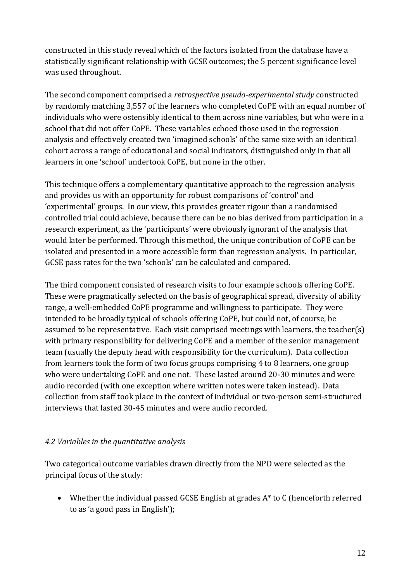constructed in this study reveal which of the factors isolated from the database have a statistically significant relationship with GCSE outcomes; the 5 percent significance level was used throughout.

The second component comprised a *retrospective pseudo-experimental study* constructed by randomly matching 3,557 of the learners who completed CoPE with an equal number of individuals who were ostensibly identical to them across nine variables, but who were in a school that did not offer CoPE. These variables echoed those used in the regression analysis and effectively created two 'imagined schools' of the same size with an identical cohort across a range of educational and social indicators, distinguished only in that all learners in one 'school' undertook CoPE, but none in the other.

This technique offers a complementary quantitative approach to the regression analysis and provides us with an opportunity for robust comparisons of 'control' and 'experimental' groups. In our view, this provides greater rigour than a randomised controlled trial could achieve, because there can be no bias derived from participation in a research experiment, as the 'participants' were obviously ignorant of the analysis that would later be performed. Through this method, the unique contribution of CoPE can be isolated and presented in a more accessible form than regression analysis. In particular, GCSE pass rates for the two 'schools' can be calculated and compared.

The third component consisted of research visits to four example schools offering CoPE. These were pragmatically selected on the basis of geographical spread, diversity of ability range, a well-embedded CoPE programme and willingness to participate. They were intended to be broadly typical of schools offering CoPE, but could not, of course, be assumed to be representative. Each visit comprised meetings with learners, the teacher(s) with primary responsibility for delivering CoPE and a member of the senior management team (usually the deputy head with responsibility for the curriculum). Data collection from learners took the form of two focus groups comprising 4 to 8 learners, one group who were undertaking CoPE and one not. These lasted around 20-30 minutes and were audio recorded (with one exception where written notes were taken instead). Data collection from staff took place in the context of individual or two-person semi-structured interviews that lasted 30-45 minutes and were audio recorded.

#### *4.2 Variables in the quantitative analysis*

Two categorical outcome variables drawn directly from the NPD were selected as the principal focus of the study:

• Whether the individual passed GCSE English at grades A\* to C (henceforth referred to as 'a good pass in English');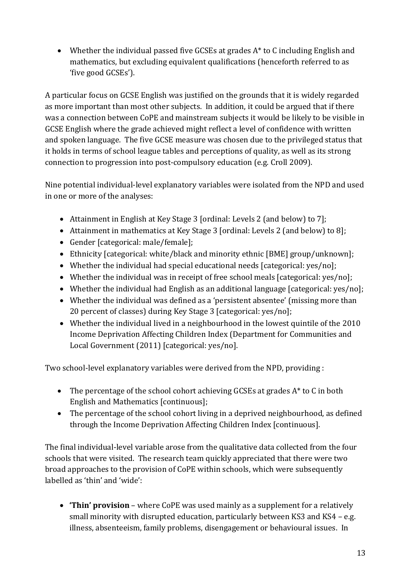• Whether the individual passed five GCSEs at grades A<sup>\*</sup> to C including English and mathematics, but excluding equivalent qualifications (henceforth referred to as 'five good GCSEs').

A particular focus on GCSE English was justified on the grounds that it is widely regarded as more important than most other subjects. In addition, it could be argued that if there was a connection between CoPE and mainstream subjects it would be likely to be visible in GCSE English where the grade achieved might reflect a level of confidence with written and spoken language. The five GCSE measure was chosen due to the privileged status that it holds in terms of school league tables and perceptions of quality, as well as its strong connection to progression into post-compulsory education (e.g. Croll 2009).

Nine potential individual-level explanatory variables were isolated from the NPD and used in one or more of the analyses:

- Attainment in English at Key Stage 3 [ordinal: Levels 2 (and below) to 7];
- Attainment in mathematics at Key Stage 3 [ordinal: Levels 2 (and below) to 8];
- Gender [categorical: male/female];
- Ethnicity [categorical: white/black and minority ethnic [BME] group/unknown];
- Whether the individual had special educational needs [categorical: yes/no];
- Whether the individual was in receipt of free school meals [categorical: yes/no];
- Whether the individual had English as an additional language [categorical: yes/no];
- Whether the individual was defined as a 'persistent absentee' (missing more than 20 percent of classes) during Key Stage 3 [categorical: yes/no];
- Whether the individual lived in a neighbourhood in the lowest quintile of the 2010 Income Deprivation Affecting Children Index (Department for Communities and Local Government (2011) [categorical: yes/no].

Two school-level explanatory variables were derived from the NPD, providing :

- The percentage of the school cohort achieving GCSEs at grades A\* to C in both English and Mathematics [continuous];
- The percentage of the school cohort living in a deprived neighbourhood, as defined through the Income Deprivation Affecting Children Index [continuous].

The final individual-level variable arose from the qualitative data collected from the four schools that were visited. The research team quickly appreciated that there were two broad approaches to the provision of CoPE within schools, which were subsequently labelled as 'thin' and 'wide':

**• 'Thin' provision** – where CoPE was used mainly as a supplement for a relatively small minority with disrupted education, particularly between KS3 and KS4 – e.g. illness, absenteeism, family problems, disengagement or behavioural issues. In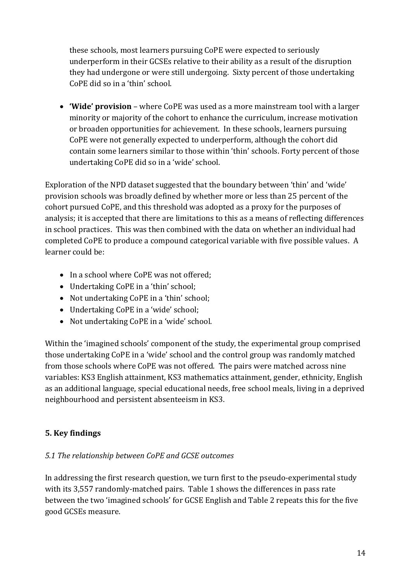these schools, most learners pursuing CoPE were expected to seriously underperform in their GCSEs relative to their ability as a result of the disruption they had undergone or were still undergoing. Sixty percent of those undertaking CoPE did so in a 'thin' school.

 **'Wide' provision** – where CoPE was used as a more mainstream tool with a larger minority or majority of the cohort to enhance the curriculum, increase motivation or broaden opportunities for achievement. In these schools, learners pursuing CoPE were not generally expected to underperform, although the cohort did contain some learners similar to those within 'thin' schools. Forty percent of those undertaking CoPE did so in a 'wide' school.

Exploration of the NPD dataset suggested that the boundary between 'thin' and 'wide' provision schools was broadly defined by whether more or less than 25 percent of the cohort pursued CoPE, and this threshold was adopted as a proxy for the purposes of analysis; it is accepted that there are limitations to this as a means of reflecting differences in school practices. This was then combined with the data on whether an individual had completed CoPE to produce a compound categorical variable with five possible values. A learner could be:

- In a school where CoPE was not offered;
- Undertaking CoPE in a 'thin' school;
- Not undertaking CoPE in a 'thin' school;
- Undertaking CoPE in a 'wide' school;
- Not undertaking CoPE in a 'wide' school.

Within the 'imagined schools' component of the study, the experimental group comprised those undertaking CoPE in a 'wide' school and the control group was randomly matched from those schools where CoPE was not offered. The pairs were matched across nine variables: KS3 English attainment, KS3 mathematics attainment, gender, ethnicity, English as an additional language, special educational needs, free school meals, living in a deprived neighbourhood and persistent absenteeism in KS3.

## **5. Key findings**

## *5.1 The relationship between CoPE and GCSE outcomes*

In addressing the first research question, we turn first to the pseudo-experimental study with its 3,557 randomly-matched pairs. Table 1 shows the differences in pass rate between the two 'imagined schools' for GCSE English and Table 2 repeats this for the five good GCSEs measure.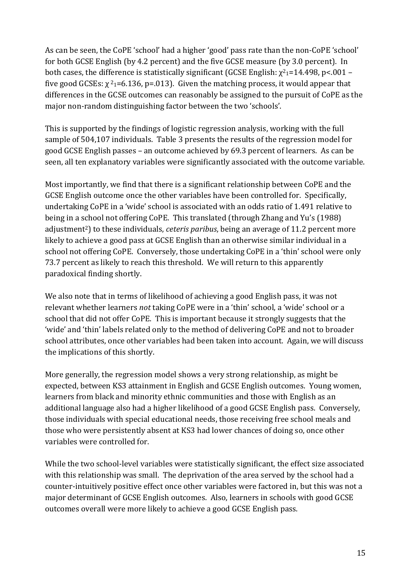As can be seen, the CoPE 'school' had a higher 'good' pass rate than the non-CoPE 'school' for both GCSE English (by 4.2 percent) and the five GCSE measure (by 3.0 percent). In both cases, the difference is statistically significant (GCSE English:  $\chi^2$ <sub>1</sub>=14.498, p<.001 – five good GCSEs:  $\chi^2$ 1=6.136, p=.013). Given the matching process, it would appear that differences in the GCSE outcomes can reasonably be assigned to the pursuit of CoPE as the major non-random distinguishing factor between the two 'schools'.

This is supported by the findings of logistic regression analysis, working with the full sample of 504,107 individuals. Table 3 presents the results of the regression model for good GCSE English passes – an outcome achieved by 69.3 percent of learners. As can be seen, all ten explanatory variables were significantly associated with the outcome variable.

Most importantly, we find that there is a significant relationship between CoPE and the GCSE English outcome once the other variables have been controlled for. Specifically, undertaking CoPE in a 'wide' school is associated with an odds ratio of 1.491 relative to being in a school not offering CoPE. This translated (through Zhang and Yu's (1988) adjustment2) to these individuals, *ceteris paribus*, being an average of 11.2 percent more likely to achieve a good pass at GCSE English than an otherwise similar individual in a school not offering CoPE. Conversely, those undertaking CoPE in a 'thin' school were only 73.7 percent as likely to reach this threshold. We will return to this apparently paradoxical finding shortly.

We also note that in terms of likelihood of achieving a good English pass, it was not relevant whether learners *not* taking CoPE were in a 'thin' school, a 'wide' school or a school that did not offer CoPE. This is important because it strongly suggests that the 'wide' and 'thin' labels related only to the method of delivering CoPE and not to broader school attributes, once other variables had been taken into account. Again, we will discuss the implications of this shortly.

More generally, the regression model shows a very strong relationship, as might be expected, between KS3 attainment in English and GCSE English outcomes. Young women, learners from black and minority ethnic communities and those with English as an additional language also had a higher likelihood of a good GCSE English pass. Conversely, those individuals with special educational needs, those receiving free school meals and those who were persistently absent at KS3 had lower chances of doing so, once other variables were controlled for.

While the two school-level variables were statistically significant, the effect size associated with this relationship was small. The deprivation of the area served by the school had a counter-intuitively positive effect once other variables were factored in, but this was not a major determinant of GCSE English outcomes. Also, learners in schools with good GCSE outcomes overall were more likely to achieve a good GCSE English pass.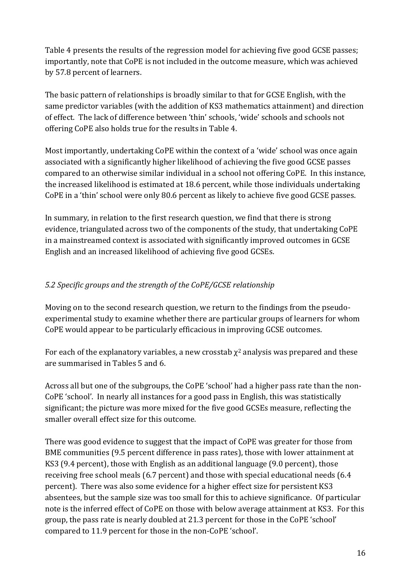Table 4 presents the results of the regression model for achieving five good GCSE passes; importantly, note that CoPE is not included in the outcome measure, which was achieved by 57.8 percent of learners.

The basic pattern of relationships is broadly similar to that for GCSE English, with the same predictor variables (with the addition of KS3 mathematics attainment) and direction of effect. The lack of difference between 'thin' schools, 'wide' schools and schools not offering CoPE also holds true for the results in Table 4.

Most importantly, undertaking CoPE within the context of a 'wide' school was once again associated with a significantly higher likelihood of achieving the five good GCSE passes compared to an otherwise similar individual in a school not offering CoPE. In this instance, the increased likelihood is estimated at 18.6 percent, while those individuals undertaking CoPE in a 'thin' school were only 80.6 percent as likely to achieve five good GCSE passes.

In summary, in relation to the first research question, we find that there is strong evidence, triangulated across two of the components of the study, that undertaking CoPE in a mainstreamed context is associated with significantly improved outcomes in GCSE English and an increased likelihood of achieving five good GCSEs.

## *5.2 Specific groups and the strength of the CoPE/GCSE relationship*

Moving on to the second research question, we return to the findings from the pseudoexperimental study to examine whether there are particular groups of learners for whom CoPE would appear to be particularly efficacious in improving GCSE outcomes.

For each of the explanatory variables, a new crosstab  $\chi^2$  analysis was prepared and these are summarised in Tables 5 and 6.

Across all but one of the subgroups, the CoPE 'school' had a higher pass rate than the non-CoPE 'school'. In nearly all instances for a good pass in English, this was statistically significant; the picture was more mixed for the five good GCSEs measure, reflecting the smaller overall effect size for this outcome.

There was good evidence to suggest that the impact of CoPE was greater for those from BME communities (9.5 percent difference in pass rates), those with lower attainment at KS3 (9.4 percent), those with English as an additional language (9.0 percent), those receiving free school meals (6.7 percent) and those with special educational needs (6.4 percent). There was also some evidence for a higher effect size for persistent KS3 absentees, but the sample size was too small for this to achieve significance. Of particular note is the inferred effect of CoPE on those with below average attainment at KS3. For this group, the pass rate is nearly doubled at 21.3 percent for those in the CoPE 'school' compared to 11.9 percent for those in the non-CoPE 'school'.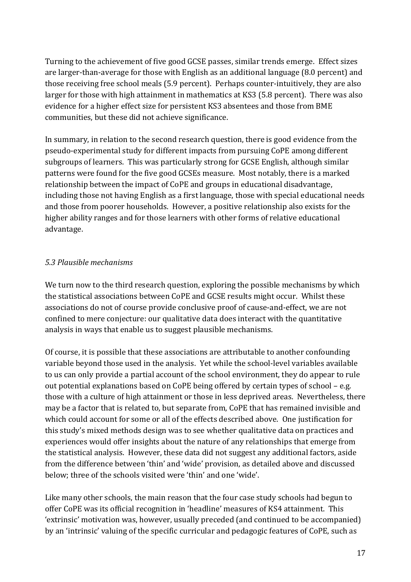Turning to the achievement of five good GCSE passes, similar trends emerge. Effect sizes are larger-than-average for those with English as an additional language (8.0 percent) and those receiving free school meals (5.9 percent). Perhaps counter-intuitively, they are also larger for those with high attainment in mathematics at KS3 (5.8 percent). There was also evidence for a higher effect size for persistent KS3 absentees and those from BME communities, but these did not achieve significance.

In summary, in relation to the second research question, there is good evidence from the pseudo-experimental study for different impacts from pursuing CoPE among different subgroups of learners. This was particularly strong for GCSE English, although similar patterns were found for the five good GCSEs measure. Most notably, there is a marked relationship between the impact of CoPE and groups in educational disadvantage, including those not having English as a first language, those with special educational needs and those from poorer households. However, a positive relationship also exists for the higher ability ranges and for those learners with other forms of relative educational advantage.

#### *5.3 Plausible mechanisms*

We turn now to the third research question, exploring the possible mechanisms by which the statistical associations between CoPE and GCSE results might occur. Whilst these associations do not of course provide conclusive proof of cause-and-effect, we are not confined to mere conjecture: our qualitative data does interact with the quantitative analysis in ways that enable us to suggest plausible mechanisms.

Of course, it is possible that these associations are attributable to another confounding variable beyond those used in the analysis. Yet while the school-level variables available to us can only provide a partial account of the school environment, they do appear to rule out potential explanations based on CoPE being offered by certain types of school – e.g. those with a culture of high attainment or those in less deprived areas. Nevertheless, there may be a factor that is related to, but separate from, CoPE that has remained invisible and which could account for some or all of the effects described above. One justification for this study's mixed methods design was to see whether qualitative data on practices and experiences would offer insights about the nature of any relationships that emerge from the statistical analysis. However, these data did not suggest any additional factors, aside from the difference between 'thin' and 'wide' provision, as detailed above and discussed below; three of the schools visited were 'thin' and one 'wide'.

Like many other schools, the main reason that the four case study schools had begun to offer CoPE was its official recognition in 'headline' measures of KS4 attainment. This 'extrinsic' motivation was, however, usually preceded (and continued to be accompanied) by an 'intrinsic' valuing of the specific curricular and pedagogic features of CoPE, such as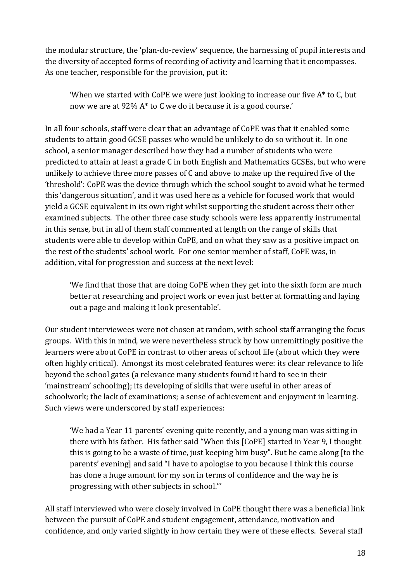the modular structure, the 'plan-do-review' sequence, the harnessing of pupil interests and the diversity of accepted forms of recording of activity and learning that it encompasses. As one teacher, responsible for the provision, put it:

'When we started with CoPE we were just looking to increase our five A\* to C, but now we are at 92% A\* to C we do it because it is a good course.'

In all four schools, staff were clear that an advantage of CoPE was that it enabled some students to attain good GCSE passes who would be unlikely to do so without it. In one school, a senior manager described how they had a number of students who were predicted to attain at least a grade C in both English and Mathematics GCSEs, but who were unlikely to achieve three more passes of C and above to make up the required five of the 'threshold': CoPE was the device through which the school sought to avoid what he termed this 'dangerous situation', and it was used here as a vehicle for focused work that would yield a GCSE equivalent in its own right whilst supporting the student across their other examined subjects. The other three case study schools were less apparently instrumental in this sense, but in all of them staff commented at length on the range of skills that students were able to develop within CoPE, and on what they saw as a positive impact on the rest of the students' school work. For one senior member of staff, CoPE was, in addition, vital for progression and success at the next level:

'We find that those that are doing CoPE when they get into the sixth form are much better at researching and project work or even just better at formatting and laying out a page and making it look presentable'.

Our student interviewees were not chosen at random, with school staff arranging the focus groups. With this in mind, we were nevertheless struck by how unremittingly positive the learners were about CoPE in contrast to other areas of school life (about which they were often highly critical). Amongst its most celebrated features were: its clear relevance to life beyond the school gates (a relevance many students found it hard to see in their 'mainstream' schooling); its developing of skills that were useful in other areas of schoolwork; the lack of examinations; a sense of achievement and enjoyment in learning. Such views were underscored by staff experiences:

'We had a Year 11 parents' evening quite recently, and a young man was sitting in there with his father. His father said "When this [CoPE] started in Year 9, I thought this is going to be a waste of time, just keeping him busy". But he came along [to the parents' evening] and said "I have to apologise to you because I think this course has done a huge amount for my son in terms of confidence and the way he is progressing with other subjects in school."'

All staff interviewed who were closely involved in CoPE thought there was a beneficial link between the pursuit of CoPE and student engagement, attendance, motivation and confidence, and only varied slightly in how certain they were of these effects. Several staff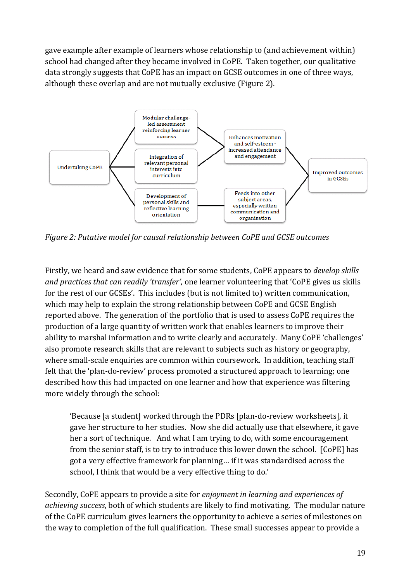gave example after example of learners whose relationship to (and achievement within) school had changed after they became involved in CoPE. Taken together, our qualitative data strongly suggests that CoPE has an impact on GCSE outcomes in one of three ways, although these overlap and are not mutually exclusive (Figure 2).



*Figure 2: Putative model for causal relationship between CoPE and GCSE outcomes* 

Firstly, we heard and saw evidence that for some students, CoPE appears to *develop skills and practices that can readily 'transfer'*, one learner volunteering that 'CoPE gives us skills for the rest of our GCSEs'. This includes (but is not limited to) written communication, which may help to explain the strong relationship between CoPE and GCSE English reported above. The generation of the portfolio that is used to assess CoPE requires the production of a large quantity of written work that enables learners to improve their ability to marshal information and to write clearly and accurately. Many CoPE 'challenges' also promote research skills that are relevant to subjects such as history or geography, where small-scale enquiries are common within coursework. In addition, teaching staff felt that the 'plan-do-review' process promoted a structured approach to learning; one described how this had impacted on one learner and how that experience was filtering more widely through the school:

'Because [a student] worked through the PDRs [plan-do-review worksheets], it gave her structure to her studies. Now she did actually use that elsewhere, it gave her a sort of technique. And what I am trying to do, with some encouragement from the senior staff, is to try to introduce this lower down the school. [CoPE] has got a very effective framework for planning… if it was standardised across the school, I think that would be a very effective thing to do.'

Secondly, CoPE appears to provide a site for *enjoyment in learning and experiences of achieving success*, both of which students are likely to find motivating. The modular nature of the CoPE curriculum gives learners the opportunity to achieve a series of milestones on the way to completion of the full qualification. These small successes appear to provide a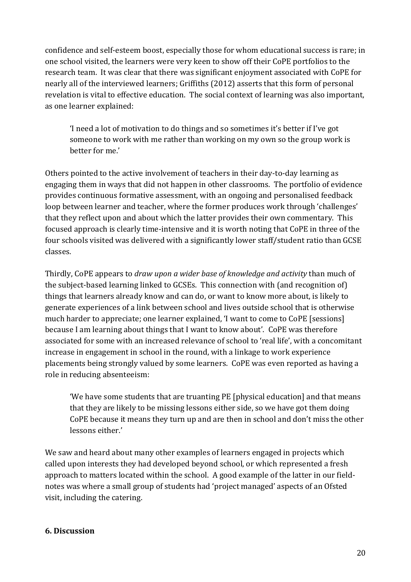confidence and self-esteem boost, especially those for whom educational success is rare; in one school visited, the learners were very keen to show off their CoPE portfolios to the research team. It was clear that there was significant enjoyment associated with CoPE for nearly all of the interviewed learners; Griffiths (2012) asserts that this form of personal revelation is vital to effective education. The social context of learning was also important, as one learner explained:

'I need a lot of motivation to do things and so sometimes it's better if I've got someone to work with me rather than working on my own so the group work is better for me.'

Others pointed to the active involvement of teachers in their day-to-day learning as engaging them in ways that did not happen in other classrooms. The portfolio of evidence provides continuous formative assessment, with an ongoing and personalised feedback loop between learner and teacher, where the former produces work through 'challenges' that they reflect upon and about which the latter provides their own commentary. This focused approach is clearly time-intensive and it is worth noting that CoPE in three of the four schools visited was delivered with a significantly lower staff/student ratio than GCSE classes.

Thirdly, CoPE appears to *draw upon a wider base of knowledge and activity* than much of the subject-based learning linked to GCSEs. This connection with (and recognition of) things that learners already know and can do, or want to know more about, is likely to generate experiences of a link between school and lives outside school that is otherwise much harder to appreciate; one learner explained, 'I want to come to CoPE [sessions] because I am learning about things that I want to know about'. CoPE was therefore associated for some with an increased relevance of school to 'real life', with a concomitant increase in engagement in school in the round, with a linkage to work experience placements being strongly valued by some learners. CoPE was even reported as having a role in reducing absenteeism:

'We have some students that are truanting PE [physical education] and that means that they are likely to be missing lessons either side, so we have got them doing CoPE because it means they turn up and are then in school and don't miss the other lessons either.'

We saw and heard about many other examples of learners engaged in projects which called upon interests they had developed beyond school, or which represented a fresh approach to matters located within the school. A good example of the latter in our fieldnotes was where a small group of students had 'project managed' aspects of an Ofsted visit, including the catering.

#### **6. Discussion**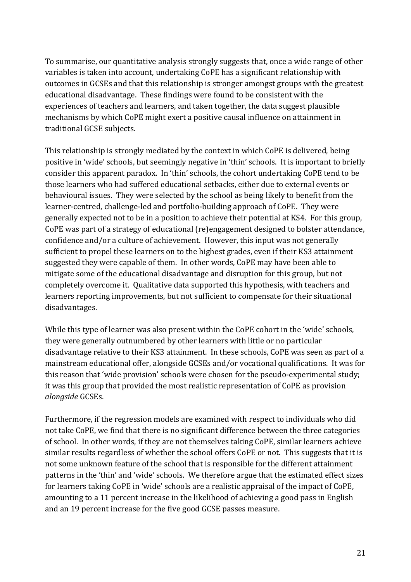To summarise, our quantitative analysis strongly suggests that, once a wide range of other variables is taken into account, undertaking CoPE has a significant relationship with outcomes in GCSEs and that this relationship is stronger amongst groups with the greatest educational disadvantage. These findings were found to be consistent with the experiences of teachers and learners, and taken together, the data suggest plausible mechanisms by which CoPE might exert a positive causal influence on attainment in traditional GCSE subjects.

This relationship is strongly mediated by the context in which CoPE is delivered, being positive in 'wide' schools, but seemingly negative in 'thin' schools. It is important to briefly consider this apparent paradox. In 'thin' schools, the cohort undertaking CoPE tend to be those learners who had suffered educational setbacks, either due to external events or behavioural issues. They were selected by the school as being likely to benefit from the learner-centred, challenge-led and portfolio-building approach of CoPE. They were generally expected not to be in a position to achieve their potential at KS4. For this group, CoPE was part of a strategy of educational (re)engagement designed to bolster attendance, confidence and/or a culture of achievement. However, this input was not generally sufficient to propel these learners on to the highest grades, even if their KS3 attainment suggested they were capable of them. In other words, CoPE may have been able to mitigate some of the educational disadvantage and disruption for this group, but not completely overcome it. Qualitative data supported this hypothesis, with teachers and learners reporting improvements, but not sufficient to compensate for their situational disadvantages.

While this type of learner was also present within the CoPE cohort in the 'wide' schools, they were generally outnumbered by other learners with little or no particular disadvantage relative to their KS3 attainment. In these schools, CoPE was seen as part of a mainstream educational offer, alongside GCSEs and/or vocational qualifications. It was for this reason that 'wide provision' schools were chosen for the pseudo-experimental study; it was this group that provided the most realistic representation of CoPE as provision *alongside* GCSEs.

Furthermore, if the regression models are examined with respect to individuals who did not take CoPE, we find that there is no significant difference between the three categories of school. In other words, if they are not themselves taking CoPE, similar learners achieve similar results regardless of whether the school offers CoPE or not. This suggests that it is not some unknown feature of the school that is responsible for the different attainment patterns in the 'thin' and 'wide' schools. We therefore argue that the estimated effect sizes for learners taking CoPE in 'wide' schools are a realistic appraisal of the impact of CoPE, amounting to a 11 percent increase in the likelihood of achieving a good pass in English and an 19 percent increase for the five good GCSE passes measure.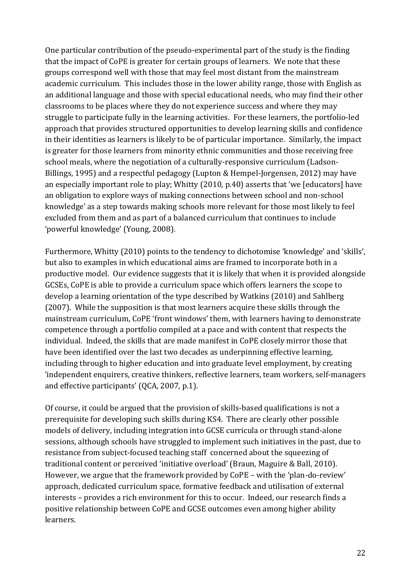One particular contribution of the pseudo-experimental part of the study is the finding that the impact of CoPE is greater for certain groups of learners. We note that these groups correspond well with those that may feel most distant from the mainstream academic curriculum. This includes those in the lower ability range, those with English as an additional language and those with special educational needs, who may find their other classrooms to be places where they do not experience success and where they may struggle to participate fully in the learning activities. For these learners, the portfolio-led approach that provides structured opportunities to develop learning skills and confidence in their identities as learners is likely to be of particular importance. Similarly, the impact is greater for those learners from minority ethnic communities and those receiving free school meals, where the negotiation of a culturally-responsive curriculum (Ladson-Billings, 1995) and a respectful pedagogy (Lupton & Hempel-Jorgensen, 2012) may have an especially important role to play; Whitty (2010, p.40) asserts that 'we [educators] have an obligation to explore ways of making connections between school and non-school knowledge' as a step towards making schools more relevant for those most likely to feel excluded from them and as part of a balanced curriculum that continues to include 'powerful knowledge' (Young, 2008).

Furthermore, Whitty (2010) points to the tendency to dichotomise 'knowledge' and 'skills', but also to examples in which educational aims are framed to incorporate both in a productive model. Our evidence suggests that it is likely that when it is provided alongside GCSEs, CoPE is able to provide a curriculum space which offers learners the scope to develop a learning orientation of the type described by Watkins (2010) and Sahlberg (2007). While the supposition is that most learners acquire these skills through the mainstream curriculum, CoPE 'front windows' them, with learners having to demonstrate competence through a portfolio compiled at a pace and with content that respects the individual. Indeed, the skills that are made manifest in CoPE closely mirror those that have been identified over the last two decades as underpinning effective learning, including through to higher education and into graduate level employment, by creating 'independent enquirers, creative thinkers, reflective learners, team workers, self-managers and effective participants' (QCA, 2007, p.1).

Of course, it could be argued that the provision of skills-based qualifications is not a prerequisite for developing such skills during KS4. There are clearly other possible models of delivery, including integration into GCSE curricula or through stand-alone sessions, although schools have struggled to implement such initiatives in the past, due to resistance from subject-focused teaching staff concerned about the squeezing of traditional content or perceived 'initiative overload' (Braun, Maguire & Ball, 2010). However, we argue that the framework provided by CoPE – with the 'plan-do-review' approach, dedicated curriculum space, formative feedback and utilisation of external interests – provides a rich environment for this to occur. Indeed, our research finds a positive relationship between CoPE and GCSE outcomes even among higher ability learners.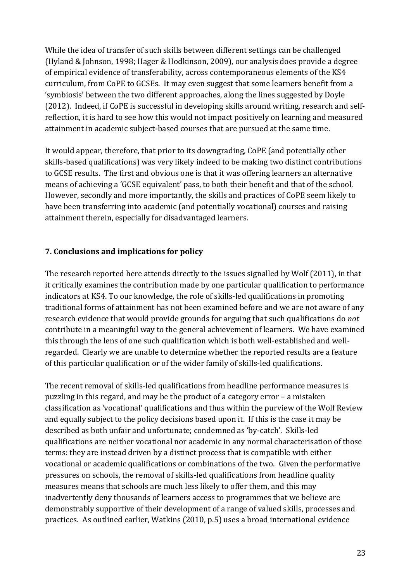While the idea of transfer of such skills between different settings can be challenged (Hyland & Johnson, 1998; Hager & Hodkinson, 2009), our analysis does provide a degree of empirical evidence of transferability, across contemporaneous elements of the KS4 curriculum, from CoPE to GCSEs. It may even suggest that some learners benefit from a 'symbiosis' between the two different approaches, along the lines suggested by Doyle (2012). Indeed, if CoPE is successful in developing skills around writing, research and selfreflection, it is hard to see how this would not impact positively on learning and measured attainment in academic subject-based courses that are pursued at the same time.

It would appear, therefore, that prior to its downgrading, CoPE (and potentially other skills-based qualifications) was very likely indeed to be making two distinct contributions to GCSE results. The first and obvious one is that it was offering learners an alternative means of achieving a 'GCSE equivalent' pass, to both their benefit and that of the school. However, secondly and more importantly, the skills and practices of CoPE seem likely to have been transferring into academic (and potentially vocational) courses and raising attainment therein, especially for disadvantaged learners.

#### **7. Conclusions and implications for policy**

The research reported here attends directly to the issues signalled by Wolf (2011), in that it critically examines the contribution made by one particular qualification to performance indicators at KS4. To our knowledge, the role of skills-led qualifications in promoting traditional forms of attainment has not been examined before and we are not aware of any research evidence that would provide grounds for arguing that such qualifications do *not*  contribute in a meaningful way to the general achievement of learners. We have examined this through the lens of one such qualification which is both well-established and wellregarded. Clearly we are unable to determine whether the reported results are a feature of this particular qualification or of the wider family of skills-led qualifications.

The recent removal of skills-led qualifications from headline performance measures is puzzling in this regard, and may be the product of a category error – a mistaken classification as 'vocational' qualifications and thus within the purview of the Wolf Review and equally subject to the policy decisions based upon it. If this is the case it may be described as both unfair and unfortunate; condemned as 'by-catch'. Skills-led qualifications are neither vocational nor academic in any normal characterisation of those terms: they are instead driven by a distinct process that is compatible with either vocational or academic qualifications or combinations of the two. Given the performative pressures on schools, the removal of skills-led qualifications from headline quality measures means that schools are much less likely to offer them, and this may inadvertently deny thousands of learners access to programmes that we believe are demonstrably supportive of their development of a range of valued skills, processes and practices. As outlined earlier, Watkins (2010, p.5) uses a broad international evidence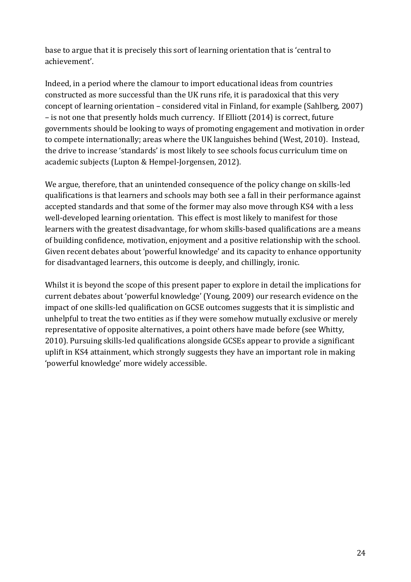base to argue that it is precisely this sort of learning orientation that is 'central to achievement'.

Indeed, in a period where the clamour to import educational ideas from countries constructed as more successful than the UK runs rife, it is paradoxical that this very concept of learning orientation – considered vital in Finland, for example (Sahlberg, 2007) – is not one that presently holds much currency. If Elliott (2014) is correct, future governments should be looking to ways of promoting engagement and motivation in order to compete internationally; areas where the UK languishes behind (West, 2010). Instead, the drive to increase 'standards' is most likely to see schools focus curriculum time on academic subjects (Lupton & Hempel-Jorgensen, 2012).

We argue, therefore, that an unintended consequence of the policy change on skills-led qualifications is that learners and schools may both see a fall in their performance against accepted standards and that some of the former may also move through KS4 with a less well-developed learning orientation. This effect is most likely to manifest for those learners with the greatest disadvantage, for whom skills-based qualifications are a means of building confidence, motivation, enjoyment and a positive relationship with the school. Given recent debates about 'powerful knowledge' and its capacity to enhance opportunity for disadvantaged learners, this outcome is deeply, and chillingly, ironic.

Whilst it is beyond the scope of this present paper to explore in detail the implications for current debates about 'powerful knowledge' (Young, 2009) our research evidence on the impact of one skills-led qualification on GCSE outcomes suggests that it is simplistic and unhelpful to treat the two entities as if they were somehow mutually exclusive or merely representative of opposite alternatives, a point others have made before (see Whitty, 2010). Pursuing skills-led qualifications alongside GCSEs appear to provide a significant uplift in KS4 attainment, which strongly suggests they have an important role in making 'powerful knowledge' more widely accessible.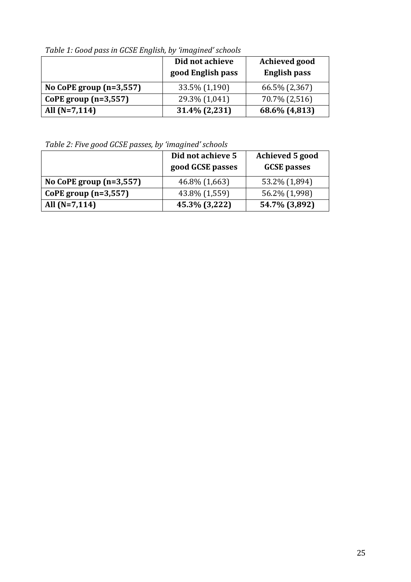**Did not achieve good English pass Achieved good English pass No CoPE group (n=3,557)** 33.5% (1,190) 66.5% (2,367) **CoPE group (n=3,557)** 29.3% (1,041) 70.7% (2,516) **All (N=7,114) 31.4% (2,231) 68.6% (4,813)** 

*Table 1: Good pass in GCSE English, by 'imagined' schools*

*Table 2: Five good GCSE passes, by 'imagined' schools*

|                           | Did not achieve 5<br>good GCSE passes | Achieved 5 good<br><b>GCSE</b> passes |
|---------------------------|---------------------------------------|---------------------------------------|
| No CoPE group $(n=3,557)$ | 46.8% (1,663)                         | 53.2% (1,894)                         |
| CoPE group $(n=3,557)$    | 43.8% (1,559)                         | 56.2% (1,998)                         |
| All $(N=7,114)$           | 45.3% (3,222)                         | 54.7% (3,892)                         |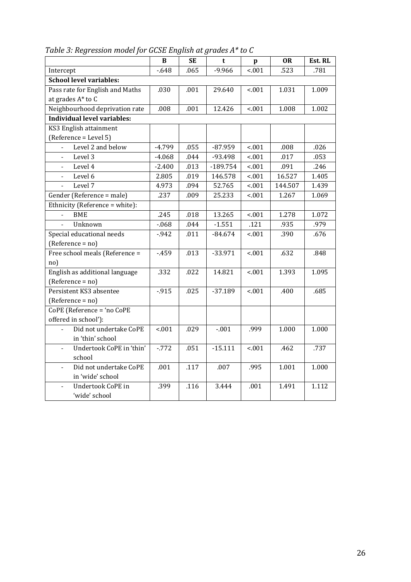|                                                      | $\bf{B}$ | <b>SE</b> | t          | $\mathbf{p}$ | <b>OR</b> | Est. RL |
|------------------------------------------------------|----------|-----------|------------|--------------|-----------|---------|
| Intercept                                            | $-648$   | .065      | $-9.966$   | < .001       | .523      | .781    |
| <b>School level variables:</b>                       |          |           |            |              |           |         |
| Pass rate for English and Maths                      | .030     | .001      | 29.640     | < .001       | 1.031     | 1.009   |
| at grades A* to C                                    |          |           |            |              |           |         |
| Neighbourhood deprivation rate                       | .008     | .001      | 12.426     | < .001       | 1.008     | 1.002   |
| <b>Individual level variables:</b>                   |          |           |            |              |           |         |
| KS3 English attainment                               |          |           |            |              |           |         |
| (Reference = Level 5)                                |          |           |            |              |           |         |
| Level 2 and below                                    | $-4.799$ | .055      | $-87.959$  | < .001       | .008      | .026    |
| Level 3<br>$\Box$                                    | $-4.068$ | .044      | -93.498    | < .001       | .017      | .053    |
| Level 4<br>$\overline{\phantom{a}}$                  | $-2.400$ | .013      | $-189.754$ | < .001       | .091      | .246    |
| Level 6<br>$\blacksquare$                            | 2.805    | .019      | 146.578    | < .001       | 16.527    | 1.405   |
| Level 7<br>$\overline{a}$                            | 4.973    | .094      | 52.765     | < .001       | 144.507   | 1.439   |
| Gender (Reference = male)                            | .237     | .009      | 25.233     | < .001       | 1.267     | 1.069   |
| Ethnicity (Reference = white):                       |          |           |            |              |           |         |
| <b>BME</b>                                           | .245     | .018      | 13.265     | < .001       | 1.278     | 1.072   |
| Unknown                                              | $-068$   | .044      | $-1.551$   | .121         | .935      | .979    |
| Special educational needs                            | $-942$   | .011      | $-84.674$  | < .001       | .390      | .676    |
| (Reference = no)                                     |          |           |            |              |           |         |
| Free school meals (Reference =                       | $-459$   | .013      | $-33.971$  | < .001       | .632      | .848    |
| no)                                                  |          |           |            |              |           |         |
| English as additional language                       | .332     | .022      | 14.821     | < .001       | 1.393     | 1.095   |
| (Reference = no)                                     |          |           |            |              |           |         |
| Persistent KS3 absentee                              | $-915$   | .025      | $-37.189$  | < 001        | .400      | .685    |
| (Reference = no)                                     |          |           |            |              |           |         |
| CoPE (Reference = 'no CoPE                           |          |           |            |              |           |         |
| offered in school'):                                 |          |           |            |              |           |         |
| Did not undertake CoPE                               | < .001   | .029      | $-.001$    | .999         | 1.000     | 1.000   |
| in 'thin' school                                     |          |           |            |              |           |         |
| Undertook CoPE in 'thin'<br>$\overline{\phantom{a}}$ | $-772$   | .051      | $-15.111$  | < 001        | .462      | .737    |
| school                                               |          |           |            |              |           |         |
| Did not undertake CoPE<br>$\overline{a}$             | .001     | .117      | .007       | .995         | 1.001     | 1.000   |
| in 'wide' school                                     |          |           |            |              |           |         |
| Undertook CoPE in<br>$\overline{a}$                  | .399     | .116      | 3.444      | .001         | 1.491     | 1.112   |
| 'wide' school                                        |          |           |            |              |           |         |

*Table 3: Regression model for GCSE English at grades A\* to C*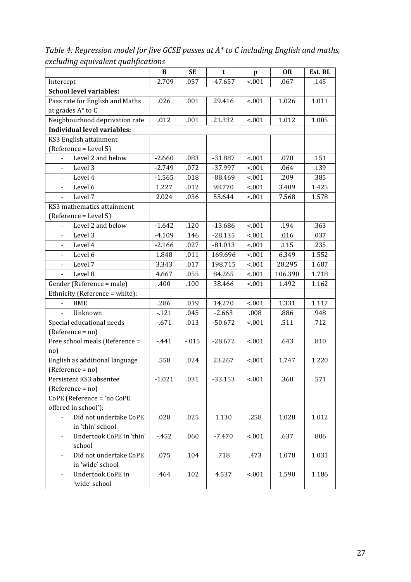*Table 4: Regression model for five GCSE passes at A\* to C including English and maths, excluding equivalent qualifications* 

|                                                    | B        | <b>SE</b> | t         | p       | <b>OR</b> | Est. RL |  |
|----------------------------------------------------|----------|-----------|-----------|---------|-----------|---------|--|
| Intercept                                          | $-2.709$ | .057      | $-47.657$ | < .001  | .067      | .145    |  |
| <b>School level variables:</b>                     |          |           |           |         |           |         |  |
| Pass rate for English and Maths                    | .026     | .001      | 29.416    | < 001   | 1.026     | 1.011   |  |
| at grades A* to C                                  |          |           |           |         |           |         |  |
| Neighbourhood deprivation rate                     | .012     | .001      | 21.332    | < .001  | 1.012     | 1.005   |  |
| <b>Individual level variables:</b>                 |          |           |           |         |           |         |  |
| KS3 English attainment                             |          |           |           |         |           |         |  |
| (Reference = Level 5)                              |          |           |           |         |           |         |  |
| Level 2 and below                                  | $-2.660$ | .083      | $-31.887$ | < .001  | .070      | .151    |  |
| Level 3                                            | $-2.749$ | .072      | -37.997   | < .001  | .064      | .139    |  |
| Level 4<br>$\overline{\phantom{a}}$                | $-1.565$ | .018      | $-88.469$ | < 001   | .209      | .385    |  |
| Level 6                                            | 1.227    | .012      | 98.770    | < .001  | 3.409     | 1.425   |  |
| Level 7                                            | 2.024    | .036      | 55.644    | < .001  | 7.568     | 1.578   |  |
| KS3 mathematics attainment                         |          |           |           |         |           |         |  |
| (Reference = Level 5)                              |          |           |           |         |           |         |  |
| Level 2 and below                                  | $-1.642$ | .120      | $-13.686$ | < .001  | .194      | .363    |  |
| Level 3<br>$\overline{\phantom{0}}$                | $-4.109$ | .146      | $-28.135$ | < 001   | .016      | .037    |  |
| Level 4                                            | $-2.166$ | .027      | $-81.013$ | < 001   | .115      | .235    |  |
| Level 6                                            | 1.848    | .011      | 169.696   | < .001  | 6.349     | 1.552   |  |
| Level 7<br>$\overline{\phantom{a}}$                | 3.343    | .017      | 198.715   | < 001   | 28.295    | 1.687   |  |
| Level 8                                            | 4.667    | .055      | 84.265    | < .001  | 106.390   | 1.718   |  |
| Gender (Reference = male)                          | .400     | .100      | 38.466    | < 001   | 1.492     | 1.162   |  |
| Ethnicity (Reference = white):                     |          |           |           |         |           |         |  |
| <b>BME</b>                                         | .286     | .019      | 14.270    | < .001  | 1.331     | 1.117   |  |
| Unknown                                            | $-121$   | .045      | $-2.663$  | .008    | .886      | .948    |  |
| Special educational needs                          | $-671$   | .013      | $-50.672$ | < 001   | .511      | .712    |  |
| $(Reference = no)$                                 |          |           |           |         |           |         |  |
| Free school meals (Reference =                     | $-441$   | $-015$    | $-28.672$ | < 001   | .643      | .810    |  |
| no)                                                |          |           |           |         |           |         |  |
| English as additional language                     | .558     | .024      | 23.267    | < .001  | 1.747     | 1.220   |  |
| (Reference = no)                                   |          |           |           |         |           |         |  |
| Persistent KS3 absentee                            | $-1.021$ | .031      | $-33.153$ | $-0.01$ | .360      | .571    |  |
| $(Reference = no)$                                 |          |           |           |         |           |         |  |
| CoPE (Reference = 'no CoPE                         |          |           |           |         |           |         |  |
| offered in school'):                               |          |           |           |         |           |         |  |
| Did not undertake CoPE                             | .028     | .025      | 1.130     | .258    | 1.028     | 1.012   |  |
| in 'thin' school                                   |          |           |           |         |           |         |  |
| Undertook CoPE in 'thin'                           | $-452$   | .060      | $-7.470$  | < 001   | .637      | .806    |  |
| school                                             |          |           |           |         |           |         |  |
| Did not undertake CoPE<br>$\overline{\phantom{a}}$ | .075     | .104      | .718      | .473    | 1.078     | 1.031   |  |
| in 'wide' school                                   |          |           |           |         |           |         |  |
| Undertook CoPE in                                  | .464     | .102      | 4.537     | < 001   | 1.590     | 1.186   |  |
| 'wide' school                                      |          |           |           |         |           |         |  |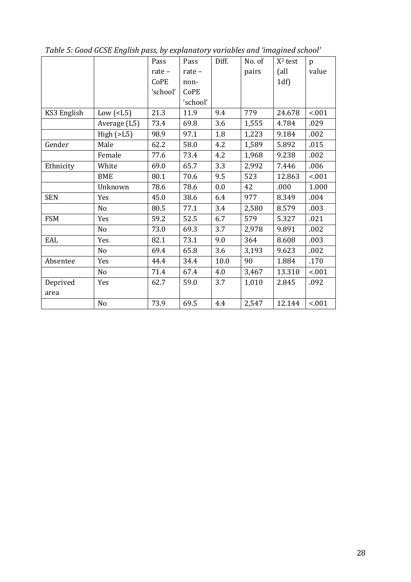|             |                | Pass     | Pass     | Diff. | No. of | $X2$ test | p      |
|-------------|----------------|----------|----------|-------|--------|-----------|--------|
|             |                | rate -   | rate-    |       | pairs  | (all      | value  |
|             |                | CoPE     | non-     |       |        | 1df       |        |
|             |                | 'school' | CoPE     |       |        |           |        |
|             |                |          | 'school' |       |        |           |        |
| KS3 English | Low $(L5)$     | 21.3     | 11.9     | 9.4   | 779    | 24.678    | < .001 |
|             | Average (L5)   | 73.4     | 69.8     | 3.6   | 1,555  | 4.784     | .029   |
|             | High(>L5)      | 98.9     | 97.1     | 1.8   | 1,223  | 9.184     | .002   |
| Gender      | Male           | 62.2     | 58.0     | 4.2   | 1,589  | 5.892     | .015   |
|             | Female         | 77.6     | 73.4     | 4.2   | 1,968  | 9.238     | .002   |
| Ethnicity   | White          | 69.0     | 65.7     | 3.3   | 2,992  | 7.446     | .006   |
|             | <b>BME</b>     | 80.1     | 70.6     | 9.5   | 523    | 12.863    | < .001 |
|             | Unknown        | 78.6     | 78.6     | 0.0   | 42     | .000      | 1.000  |
| <b>SEN</b>  | Yes            | 45.0     | 38.6     | 6.4   | 977    | 8.349     | .004   |
|             | N <sub>o</sub> | 80.5     | 77.1     | 3.4   | 2,580  | 8.579     | .003   |
| <b>FSM</b>  | Yes            | 59.2     | 52.5     | 6.7   | 579    | 5.327     | .021   |
|             | N <sub>o</sub> | 73.0     | 69.3     | 3.7   | 2,978  | 9.891     | .002   |
| EAL         | Yes            | 82.1     | 73.1     | 9.0   | 364    | 8.608     | .003   |
|             | No             | 69.4     | 65.8     | 3.6   | 3,193  | 9.623     | .002   |
| Absentee    | Yes            | 44.4     | 34.4     | 10.0  | 90     | 1.884     | .170   |
|             | N <sub>o</sub> | 71.4     | 67.4     | 4.0   | 3,467  | 13.310    | < .001 |
| Deprived    | Yes            | 62.7     | 59.0     | 3.7   | 1,010  | 2.845     | .092   |
| area        |                |          |          |       |        |           |        |
|             | No             | 73.9     | 69.5     | 4.4   | 2,547  | 12.144    | < .001 |

*Table 5: Good GCSE English pass, by explanatory variables and 'imagined school'*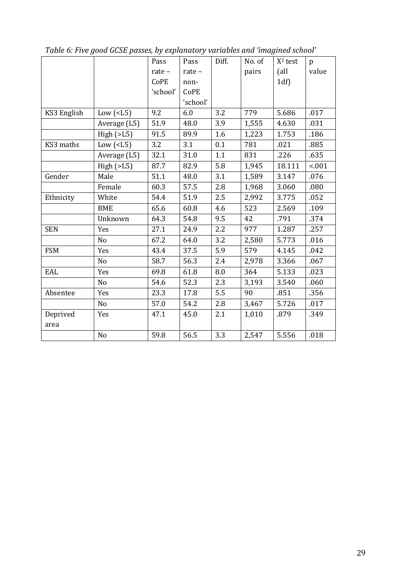|             |                | Pass     | Pass     | Diff. | No. of | $X2$ test | $\mathbf{p}$ |
|-------------|----------------|----------|----------|-------|--------|-----------|--------------|
|             |                | rate-    | rate-    |       | pairs  | (all      | value        |
|             |                | CoPE     | non-     |       |        | 1df       |              |
|             |                | 'school' | CoPE     |       |        |           |              |
|             |                |          | 'school' |       |        |           |              |
| KS3 English | Low $(L5)$     | 9.2      | 6.0      | 3.2   | 779    | 5.686     | .017         |
|             | Average (L5)   | 51.9     | 48.0     | 3.9   | 1,555  | 4.630     | .031         |
|             | High(>L5)      | 91.5     | 89.9     | 1.6   | 1,223  | 1.753     | .186         |
| KS3 maths   | Low $(L5)$     | 3.2      | 3.1      | 0.1   | 781    | .021      | .885         |
|             | Average (L5)   | 32.1     | 31.0     | 1.1   | 831    | .226      | .635         |
|             | High(>L5)      | 87.7     | 82.9     | 5.8   | 1,945  | 18.111    | < .001       |
| Gender      | Male           | 51.1     | 48.0     | 3.1   | 1,589  | 3.147     | .076         |
|             | Female         | 60.3     | 57.5     | 2.8   | 1,968  | 3.060     | .080         |
| Ethnicity   | White          | 54.4     | 51.9     | 2.5   | 2,992  | 3.775     | .052         |
|             | <b>BME</b>     | 65.6     | 60.8     | 4.6   | 523    | 2.569     | .109         |
|             | Unknown        | 64.3     | 54.8     | 9.5   | 42     | .791      | .374         |
| <b>SEN</b>  | Yes            | 27.1     | 24.9     | 2.2   | 977    | 1.287     | .257         |
|             | N <sub>o</sub> | 67.2     | 64.0     | 3.2   | 2,580  | 5.773     | .016         |
| <b>FSM</b>  | Yes            | 43.4     | 37.5     | 5.9   | 579    | 4.145     | .042         |
|             | N <sub>o</sub> | 58.7     | 56.3     | 2.4   | 2,978  | 3.366     | .067         |
| EAL         | Yes            | 69.8     | 61.8     | 8.0   | 364    | 5.133     | .023         |
|             | No             | 54.6     | 52.3     | 2.3   | 3,193  | 3.540     | .060         |
| Absentee    | Yes            | 23.3     | 17.8     | 5.5   | 90     | .851      | .356         |
|             | N <sub>o</sub> | 57.0     | 54.2     | 2.8   | 3,467  | 5.726     | .017         |
| Deprived    | Yes            | 47.1     | 45.0     | 2.1   | 1,010  | .879      | .349         |
| area        |                |          |          |       |        |           |              |
|             | No             | 59.8     | 56.5     | 3.3   | 2,547  | 5.556     | .018         |

*Table 6: Five good GCSE passes, by explanatory variables and 'imagined school'*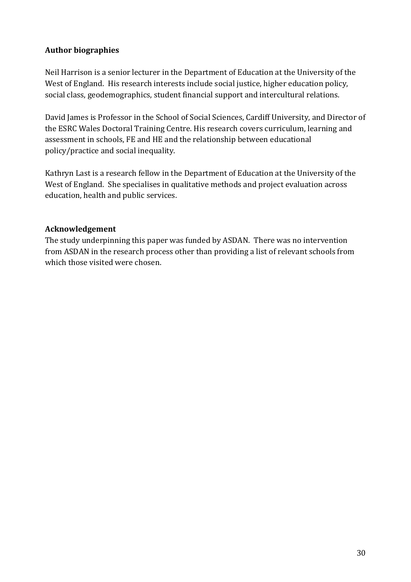## **Author biographies**

Neil Harrison is a senior lecturer in the Department of Education at the University of the West of England. His research interests include social justice, higher education policy, social class, geodemographics, student financial support and intercultural relations.

David James is Professor in the School of Social Sciences, Cardiff University, and Director of the ESRC Wales Doctoral Training Centre. His research covers curriculum, learning and assessment in schools, FE and HE and the relationship between educational policy/practice and social inequality.

Kathryn Last is a research fellow in the Department of Education at the University of the West of England. She specialises in qualitative methods and project evaluation across education, health and public services.

#### **Acknowledgement**

The study underpinning this paper was funded by ASDAN. There was no intervention from ASDAN in the research process other than providing a list of relevant schools from which those visited were chosen.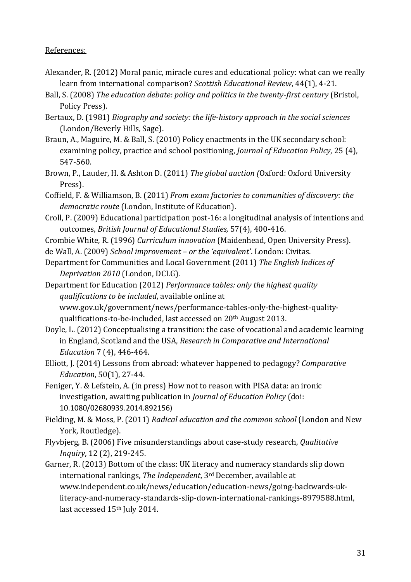#### References:

- Alexander, R. (2012) Moral panic, miracle cures and educational policy: what can we really learn from international comparison? *Scottish Educational Review*, 44(1), 4-21.
- Ball, S. (2008) *The education debate: policy and politics in the twenty-first century* (Bristol, Policy Press).
- Bertaux, D. (1981) *Biography and society: the life-history approach in the social sciences*  (London/Beverly Hills, Sage).
- Braun, A., Maguire, M. & Ball, S. (2010) Policy enactments in the UK secondary school: examining policy, practice and school positioning, *Journal of Education Policy*, 25 (4), 547-560.
- Brown, P., Lauder, H. & Ashton D. (2011) *The global auction (*Oxford: Oxford University Press).
- Coffield, F. & Williamson, B. (2011) *From exam factories to communities of discovery: the democratic route* (London, Institute of Education).
- Croll, P. (2009) Educational participation post-16: a longitudinal analysis of intentions and outcomes, *British Journal of Educational Studies,* 57(4), 400-416.

Crombie White, R. (1996) *Curriculum innovation* (Maidenhead, Open University Press).

- de Wall, A. (2009) *School improvement – or the 'equivalent'*. London: Civitas.
- Department for Communities and Local Government (2011) *The English Indices of Deprivation 2010* (London, DCLG).

Department for Education (2012) *Performance tables: only the highest quality qualifications to be included*, available online at www.gov.uk/government/news/performance-tables-only-the-highest-qualityqualifications-to-be-included, last accessed on 20th August 2013.

- Doyle, L. (2012) Conceptualising a transition: the case of vocational and academic learning in England, Scotland and the USA, *Research in Comparative and International Education* 7 (4), 446-464.
- Elliott, J. (2014) Lessons from abroad: whatever happened to pedagogy? *Comparative Education*, 50(1), 27-44.
- Feniger, Y. & Lefstein, A. (in press) How not to reason with PISA data: an ironic investigation, awaiting publication in *Journal of Education Policy* (doi: 10.1080/02680939.2014.892156)
- Fielding, M. & Moss, P. (2011) *Radical education and the common school* (London and New York, Routledge).
- Flyvbjerg, B. (2006) Five misunderstandings about case-study research, *Qualitative Inquiry*, 12 (2), 219-245.
- Garner, R. (2013) Bottom of the class: UK literacy and numeracy standards slip down international rankings, *The Independent*, 3rd December, available at www.independent.co.uk/news/education/education-news/going-backwards-ukliteracy-and-numeracy-standards-slip-down-international-rankings-8979588.html, last accessed 15th July 2014.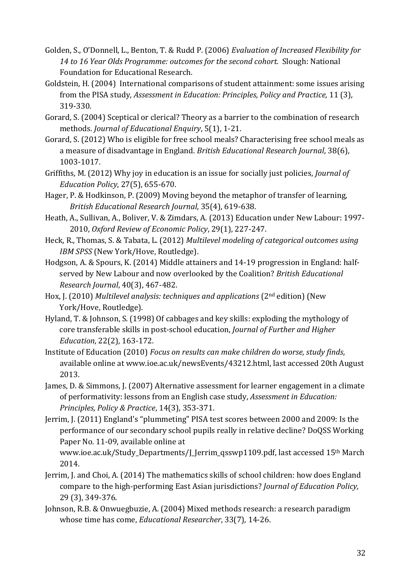- Golden, S., O'Donnell, L., Benton, T. & Rudd P. (2006) *Evaluation of Increased Flexibility for 14 to 16 Year Olds Programme: outcomes for the second cohort.* Slough: National Foundation for Educational Research.
- Goldstein, H. (2004) International comparisons of student attainment: some issues arising from the PISA study, *Assessment in Education: Principles, Policy and Practice,* 11 (3), 319-330.
- Gorard, S. (2004) Sceptical or clerical? Theory as a barrier to the combination of research methods. *Journal of Educational Enquiry*, 5(1), 1-21.
- Gorard, S. (2012) Who is eligible for free school meals? Characterising free school meals as a measure of disadvantage in England. *British Educational Research Journal*, 38(6), 1003-1017.
- Griffiths, M. (2012) Why joy in education is an issue for socially just policies, *Journal of Education Policy*, 27(5), 655-670.
- Hager, P. & Hodkinson, P. (2009) Moving beyond the metaphor of transfer of learning, *British Educational Research Journal*, 35(4), 619-638.
- Heath, A., Sullivan, A., Boliver, V. & Zimdars, A. (2013) Education under New Labour: 1997- 2010, *Oxford Review of Economic Policy*, 29(1), 227-247.
- Heck, R., Thomas, S. & Tabata, L. (2012) *Multilevel modeling of categorical outcomes using IBM SPSS* (New York/Hove, Routledge).
- Hodgson, A. & Spours, K. (2014) Middle attainers and 14-19 progression in England: halfserved by New Labour and now overlooked by the Coalition? *British Educational Research Journal*, 40(3), 467-482.
- Hox, J. (2010) *Multilevel analysis: techniques and applications* (2nd edition) (New York/Hove, Routledge).
- Hyland, T. & Johnson, S. (1998) Of cabbages and key skills: exploding the mythology of core transferable skills in post‐school education, *Journal of Further and Higher Education*, 22(2), 163-172.
- Institute of Education (2010) *Focus on results can make children do worse, study finds*, available online at www.ioe.ac.uk/newsEvents/43212.html, last accessed 20th August 2013.
- James, D. & Simmons, J. (2007) Alternative assessment for learner engagement in a climate of performativity: lessons from an English case study, *Assessment in Education: Principles, Policy & Practice*, 14(3), 353-371.
- Jerrim, J. (2011) England's "plummeting" PISA test scores between 2000 and 2009: Is the performance of our secondary school pupils really in relative decline? DoQSS Working Paper No. 11-09, available online at
	- www.ioe.ac.uk/Study\_Departments/J\_Jerrim\_qsswp1109.pdf, last accessed 15th March 2014.
- Jerrim, J. and Choi, A. (2014) The mathematics skills of school children: how does England compare to the high-performing East Asian jurisdictions? *Journal of Education Policy,*  29 (3), 349-376.
- Johnson, R.B. & Onwuegbuzie, A. (2004) Mixed methods research: a research paradigm whose time has come, *Educational Researcher*, 33(7), 14-26.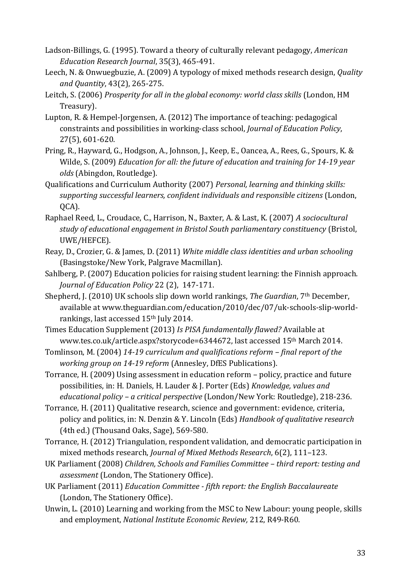- Ladson-Billings, G. (1995). Toward a theory of culturally relevant pedagogy, *American Education Research Journal*, 35(3), 465-491.
- Leech, N. & Onwuegbuzie, A. (2009) A typology of mixed methods research design, *Quality and Quantity*, 43(2), 265-275.
- Leitch, S. (2006) *Prosperity for all in the global economy: world class skills* (London, HM Treasury).
- Lupton, R. & Hempel-Jorgensen, A. (2012) The importance of teaching: pedagogical constraints and possibilities in working-class school, *Journal of Education Policy*, 27(5), 601-620.
- Pring, R., Hayward, G., Hodgson, A., Johnson, J., Keep, E., Oancea, A., Rees, G., Spours, K. & Wilde, S. (2009) *Education for all: the future of education and training for 14-19 year olds* (Abingdon, Routledge).
- Qualifications and Curriculum Authority (2007) *Personal, learning and thinking skills: supporting successful learners, confident individuals and responsible citizens* (London, QCA).
- Raphael Reed, L., Croudace, C., Harrison, N., Baxter, A. & Last, K. (2007) *A sociocultural study of educational engagement in Bristol South parliamentary constituency* (Bristol, UWE/HEFCE).
- Reay, D., Crozier, G. & James, D. (2011) *White middle class identities and urban schooling*  (Basingstoke/New York, Palgrave Macmillan).
- Sahlberg, P. (2007) Education policies for raising student learning: the Finnish approach. *Journal of Education Policy* 22 (2), 147-171.
- Shepherd, J. (2010) UK schools slip down world rankings, *The Guardian*, 7th December, available a[t www.theguardian.com/education/2010/dec/07/uk-schools-slip-world](http://www.theguardian.com/education/2010/dec/07/uk-schools-slip-world-rankings)[rankings,](http://www.theguardian.com/education/2010/dec/07/uk-schools-slip-world-rankings) last accessed 15<sup>th</sup> July 2014.
- Times Education Supplement (2013) *Is PISA fundamentally flawed?* Available at www.tes.co.uk/article.aspx?storycode=6344672, last accessed 15th March 2014.
- Tomlinson, M. (2004) *14-19 curriculum and qualifications reform – final report of the working group on 14-19 reform* (Annesley, DfES Publications).
- Torrance, H. (2009) Using assessment in education reform policy, practice and future possibilities, in: H. Daniels, H. Lauder & J. Porter (Eds) *Knowledge, values and educational policy – a critical perspective* (London/New York: Routledge), 218-236.
- Torrance, H. (2011) Qualitative research, science and government: evidence, criteria, policy and politics, in: N. Denzin & Y. Lincoln (Eds) *Handbook of qualitative research* (4th ed.) (Thousand Oaks, Sage), 569-580.
- Torrance, H. (2012) Triangulation, respondent validation, and democratic participation in mixed methods research, *Journal of Mixed Methods Research*, 6(2), 111–123.
- UK Parliament (2008) *Children, Schools and Families Committee – third report: testing and assessment* (London, The Stationery Office).
- UK Parliament (2011) *Education Committee fifth report: the English Baccalaureate* (London, The Stationery Office).
- Unwin, L. (2010) Learning and working from the MSC to New Labour: young people, skills and employment, *National Institute Economic Review,* 212, R49-R60.